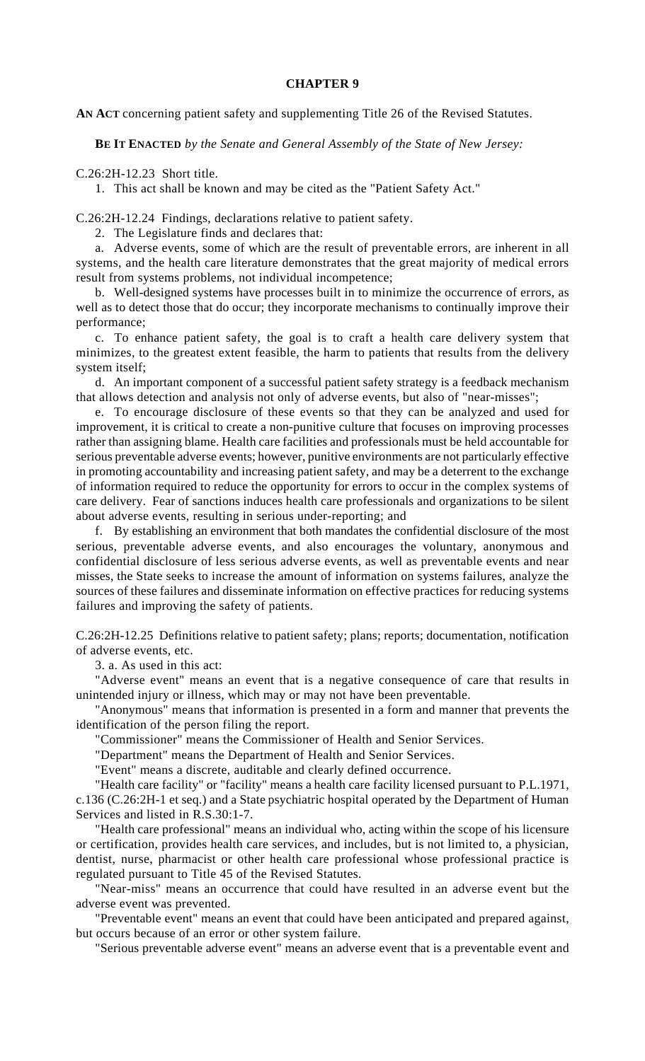## **CHAPTER 9**

**AN ACT** concerning patient safety and supplementing Title 26 of the Revised Statutes.

**BE IT ENACTED** *by the Senate and General Assembly of the State of New Jersey:*

C.26:2H-12.23 Short title.

1. This act shall be known and may be cited as the "Patient Safety Act."

C.26:2H-12.24 Findings, declarations relative to patient safety.

2. The Legislature finds and declares that:

a. Adverse events, some of which are the result of preventable errors, are inherent in all systems, and the health care literature demonstrates that the great majority of medical errors result from systems problems, not individual incompetence;

b. Well-designed systems have processes built in to minimize the occurrence of errors, as well as to detect those that do occur; they incorporate mechanisms to continually improve their performance;

c. To enhance patient safety, the goal is to craft a health care delivery system that minimizes, to the greatest extent feasible, the harm to patients that results from the delivery system itself;

d. An important component of a successful patient safety strategy is a feedback mechanism that allows detection and analysis not only of adverse events, but also of "near-misses";

e. To encourage disclosure of these events so that they can be analyzed and used for improvement, it is critical to create a non-punitive culture that focuses on improving processes rather than assigning blame. Health care facilities and professionals must be held accountable for serious preventable adverse events; however, punitive environments are not particularly effective in promoting accountability and increasing patient safety, and may be a deterrent to the exchange of information required to reduce the opportunity for errors to occur in the complex systems of care delivery. Fear of sanctions induces health care professionals and organizations to be silent about adverse events, resulting in serious under-reporting; and

f. By establishing an environment that both mandates the confidential disclosure of the most serious, preventable adverse events, and also encourages the voluntary, anonymous and confidential disclosure of less serious adverse events, as well as preventable events and near misses, the State seeks to increase the amount of information on systems failures, analyze the sources of these failures and disseminate information on effective practices for reducing systems failures and improving the safety of patients.

C.26:2H-12.25 Definitions relative to patient safety; plans; reports; documentation, notification of adverse events, etc.

3. a. As used in this act:

"Adverse event" means an event that is a negative consequence of care that results in unintended injury or illness, which may or may not have been preventable.

"Anonymous" means that information is presented in a form and manner that prevents the identification of the person filing the report.

"Commissioner" means the Commissioner of Health and Senior Services.

"Department" means the Department of Health and Senior Services.

"Event" means a discrete, auditable and clearly defined occurrence.

"Health care facility" or "facility" means a health care facility licensed pursuant to P.L.1971, c.136 (C.26:2H-1 et seq.) and a State psychiatric hospital operated by the Department of Human Services and listed in R.S.30:1-7.

"Health care professional" means an individual who, acting within the scope of his licensure or certification, provides health care services, and includes, but is not limited to, a physician, dentist, nurse, pharmacist or other health care professional whose professional practice is regulated pursuant to Title 45 of the Revised Statutes.

"Near-miss" means an occurrence that could have resulted in an adverse event but the adverse event was prevented.

"Preventable event" means an event that could have been anticipated and prepared against, but occurs because of an error or other system failure.

"Serious preventable adverse event" means an adverse event that is a preventable event and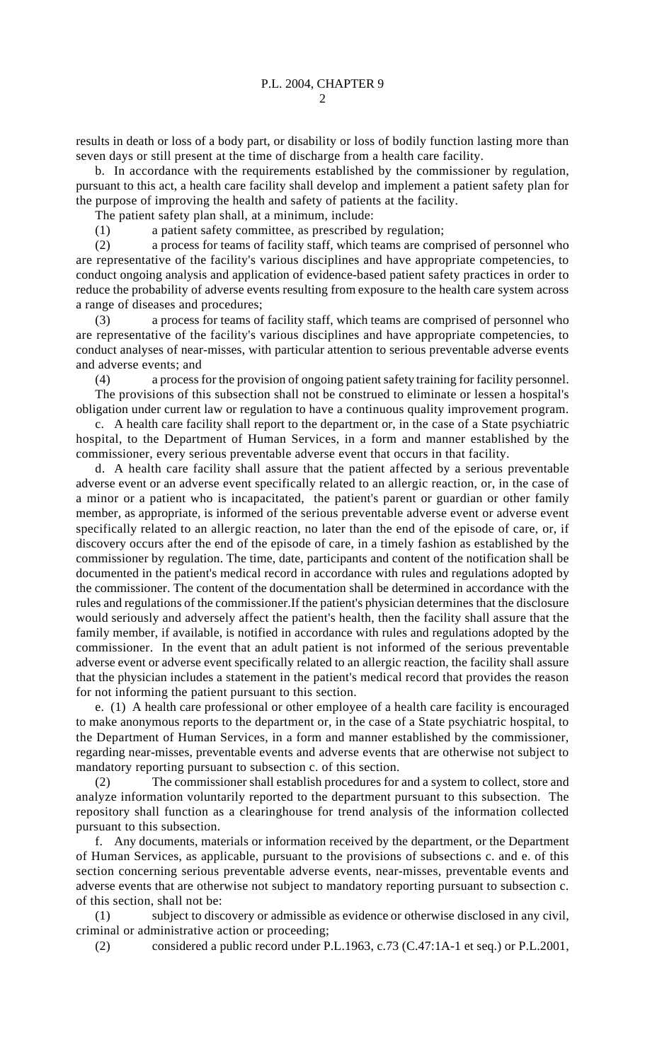2

results in death or loss of a body part, or disability or loss of bodily function lasting more than seven days or still present at the time of discharge from a health care facility.

b. In accordance with the requirements established by the commissioner by regulation, pursuant to this act, a health care facility shall develop and implement a patient safety plan for the purpose of improving the health and safety of patients at the facility.

The patient safety plan shall, at a minimum, include:

(1) a patient safety committee, as prescribed by regulation;

(2) a process for teams of facility staff, which teams are comprised of personnel who are representative of the facility's various disciplines and have appropriate competencies, to conduct ongoing analysis and application of evidence-based patient safety practices in order to reduce the probability of adverse events resulting from exposure to the health care system across a range of diseases and procedures;

(3) a process for teams of facility staff, which teams are comprised of personnel who are representative of the facility's various disciplines and have appropriate competencies, to conduct analyses of near-misses, with particular attention to serious preventable adverse events and adverse events; and

(4) a process for the provision of ongoing patient safety training for facility personnel. The provisions of this subsection shall not be construed to eliminate or lessen a hospital's obligation under current law or regulation to have a continuous quality improvement program.

c. A health care facility shall report to the department or, in the case of a State psychiatric hospital, to the Department of Human Services, in a form and manner established by the commissioner, every serious preventable adverse event that occurs in that facility.

d. A health care facility shall assure that the patient affected by a serious preventable adverse event or an adverse event specifically related to an allergic reaction, or, in the case of a minor or a patient who is incapacitated, the patient's parent or guardian or other family member, as appropriate, is informed of the serious preventable adverse event or adverse event specifically related to an allergic reaction, no later than the end of the episode of care, or, if discovery occurs after the end of the episode of care, in a timely fashion as established by the commissioner by regulation. The time, date, participants and content of the notification shall be documented in the patient's medical record in accordance with rules and regulations adopted by the commissioner. The content of the documentation shall be determined in accordance with the rules and regulations of the commissioner.If the patient's physician determines that the disclosure would seriously and adversely affect the patient's health, then the facility shall assure that the family member, if available, is notified in accordance with rules and regulations adopted by the commissioner. In the event that an adult patient is not informed of the serious preventable adverse event or adverse event specifically related to an allergic reaction, the facility shall assure that the physician includes a statement in the patient's medical record that provides the reason for not informing the patient pursuant to this section.

e. (1) A health care professional or other employee of a health care facility is encouraged to make anonymous reports to the department or, in the case of a State psychiatric hospital, to the Department of Human Services, in a form and manner established by the commissioner, regarding near-misses, preventable events and adverse events that are otherwise not subject to mandatory reporting pursuant to subsection c. of this section.

(2) The commissioner shall establish procedures for and a system to collect, store and analyze information voluntarily reported to the department pursuant to this subsection. The repository shall function as a clearinghouse for trend analysis of the information collected pursuant to this subsection.

f. Any documents, materials or information received by the department, or the Department of Human Services, as applicable, pursuant to the provisions of subsections c. and e. of this section concerning serious preventable adverse events, near-misses, preventable events and adverse events that are otherwise not subject to mandatory reporting pursuant to subsection c. of this section, shall not be:

(1) subject to discovery or admissible as evidence or otherwise disclosed in any civil, criminal or administrative action or proceeding;

(2) considered a public record under P.L.1963, c.73 (C.47:1A-1 et seq.) or P.L.2001,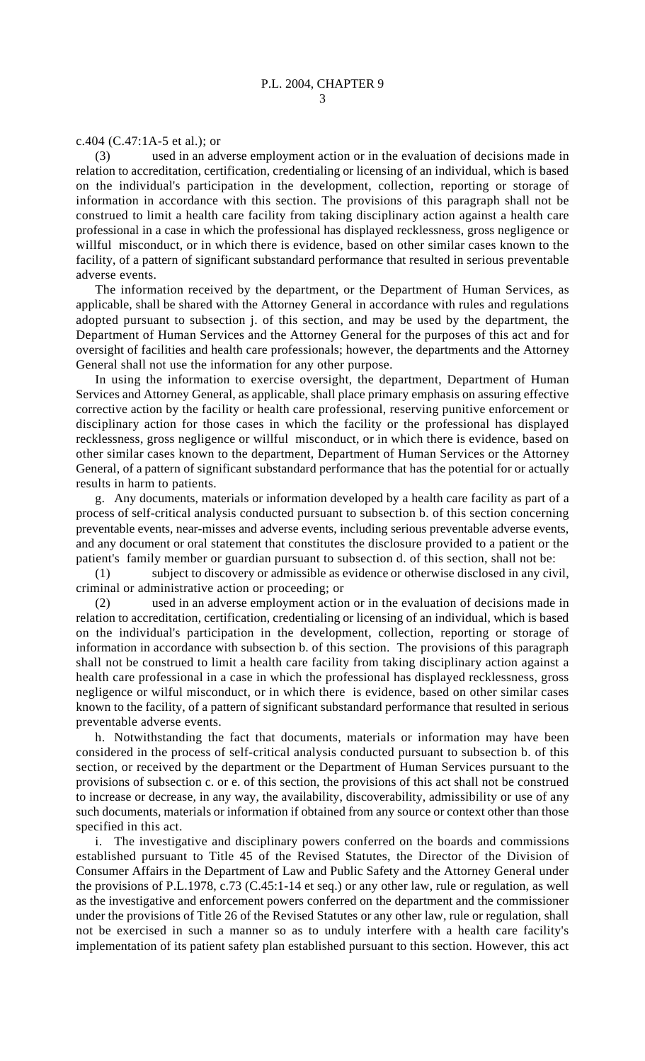## c.404 (C.47:1A-5 et al.); or

(3) used in an adverse employment action or in the evaluation of decisions made in relation to accreditation, certification, credentialing or licensing of an individual, which is based on the individual's participation in the development, collection, reporting or storage of information in accordance with this section. The provisions of this paragraph shall not be construed to limit a health care facility from taking disciplinary action against a health care professional in a case in which the professional has displayed recklessness, gross negligence or willful misconduct, or in which there is evidence, based on other similar cases known to the facility, of a pattern of significant substandard performance that resulted in serious preventable adverse events.

The information received by the department, or the Department of Human Services, as applicable, shall be shared with the Attorney General in accordance with rules and regulations adopted pursuant to subsection j. of this section, and may be used by the department, the Department of Human Services and the Attorney General for the purposes of this act and for oversight of facilities and health care professionals; however, the departments and the Attorney General shall not use the information for any other purpose.

In using the information to exercise oversight, the department, Department of Human Services and Attorney General, as applicable, shall place primary emphasis on assuring effective corrective action by the facility or health care professional, reserving punitive enforcement or disciplinary action for those cases in which the facility or the professional has displayed recklessness, gross negligence or willful misconduct, or in which there is evidence, based on other similar cases known to the department, Department of Human Services or the Attorney General, of a pattern of significant substandard performance that has the potential for or actually results in harm to patients.

g. Any documents, materials or information developed by a health care facility as part of a process of self-critical analysis conducted pursuant to subsection b. of this section concerning preventable events, near-misses and adverse events, including serious preventable adverse events, and any document or oral statement that constitutes the disclosure provided to a patient or the patient's family member or guardian pursuant to subsection d. of this section, shall not be:

(1) subject to discovery or admissible as evidence or otherwise disclosed in any civil, criminal or administrative action or proceeding; or

(2) used in an adverse employment action or in the evaluation of decisions made in relation to accreditation, certification, credentialing or licensing of an individual, which is based on the individual's participation in the development, collection, reporting or storage of information in accordance with subsection b. of this section. The provisions of this paragraph shall not be construed to limit a health care facility from taking disciplinary action against a health care professional in a case in which the professional has displayed recklessness, gross negligence or wilful misconduct, or in which there is evidence, based on other similar cases known to the facility, of a pattern of significant substandard performance that resulted in serious preventable adverse events.

h. Notwithstanding the fact that documents, materials or information may have been considered in the process of self-critical analysis conducted pursuant to subsection b. of this section, or received by the department or the Department of Human Services pursuant to the provisions of subsection c. or e. of this section, the provisions of this act shall not be construed to increase or decrease, in any way, the availability, discoverability, admissibility or use of any such documents, materials or information if obtained from any source or context other than those specified in this act.

i. The investigative and disciplinary powers conferred on the boards and commissions established pursuant to Title 45 of the Revised Statutes, the Director of the Division of Consumer Affairs in the Department of Law and Public Safety and the Attorney General under the provisions of P.L.1978, c.73 (C.45:1-14 et seq.) or any other law, rule or regulation, as well as the investigative and enforcement powers conferred on the department and the commissioner under the provisions of Title 26 of the Revised Statutes or any other law, rule or regulation, shall not be exercised in such a manner so as to unduly interfere with a health care facility's implementation of its patient safety plan established pursuant to this section. However, this act